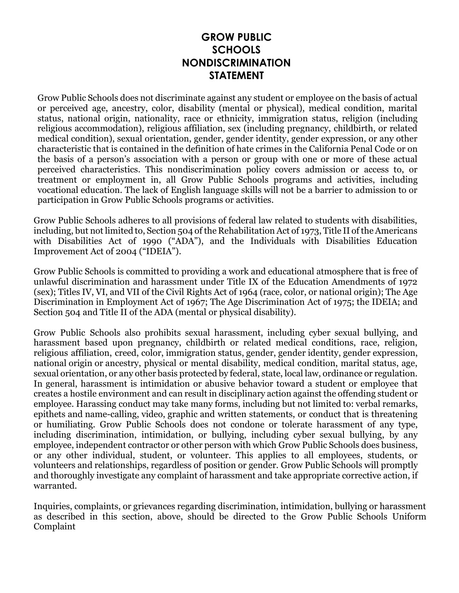## **GROW PUBLIC SCHOOLS NONDISCRIMINATION STATEMENT**

Grow Public Schools does not discriminate against any student or employee on the basis of actual or perceived age, ancestry, color, disability (mental or physical), medical condition, marital status, national origin, nationality, race or ethnicity, immigration status, religion (including religious accommodation), religious affiliation, sex (including pregnancy, childbirth, or related medical condition), sexual orientation, gender, gender identity, gender expression, or any other characteristic that is contained in the definition of hate crimes in the California Penal Code or on the basis of a person's association with a person or group with one or more of these actual perceived characteristics. This nondiscrimination policy covers admission or access to, or treatment or employment in, all Grow Public Schools programs and activities, including vocational education. The lack of English language skills will not be a barrier to admission to or participation in Grow Public Schools programs or activities.

Grow Public Schools adheres to all provisions of federal law related to students with disabilities, including, but not limited to, Section 504 of the Rehabilitation Act of 1973, Title II of the Americans with Disabilities Act of 1990 ("ADA"), and the Individuals with Disabilities Education Improvement Act of 2004 ("IDEIA").

Grow Public Schools is committed to providing a work and educational atmosphere that is free of unlawful discrimination and harassment under Title IX of the Education Amendments of 1972 (sex); Titles IV, VI, and VII of the Civil Rights Act of 1964 (race, color, or national origin); The Age Discrimination in Employment Act of 1967; The Age Discrimination Act of 1975; the IDEIA; and Section 504 and Title II of the ADA (mental or physical disability).

Grow Public Schools also prohibits sexual harassment, including cyber sexual bullying, and harassment based upon pregnancy, childbirth or related medical conditions, race, religion, religious affiliation, creed, color, immigration status, gender, gender identity, gender expression, national origin or ancestry, physical or mental disability, medical condition, marital status, age, sexual orientation, or any other basis protected by federal, state, local law, ordinance or regulation. In general, harassment is intimidation or abusive behavior toward a student or employee that creates a hostile environment and can result in disciplinary action against the offending student or employee. Harassing conduct may take many forms, including but not limited to: verbal remarks, epithets and name-calling, video, graphic and written statements, or conduct that is threatening or humiliating. Grow Public Schools does not condone or tolerate harassment of any type, including discrimination, intimidation, or bullying, including cyber sexual bullying, by any employee, independent contractor or other person with which Grow Public Schools does business, or any other individual, student, or volunteer. This applies to all employees, students, or volunteers and relationships, regardless of position or gender. Grow Public Schools will promptly and thoroughly investigate any complaint of harassment and take appropriate corrective action, if warranted.

Inquiries, complaints, or grievances regarding discrimination, intimidation, bullying or harassment as described in this section, above, should be directed to the Grow Public Schools Uniform Complaint